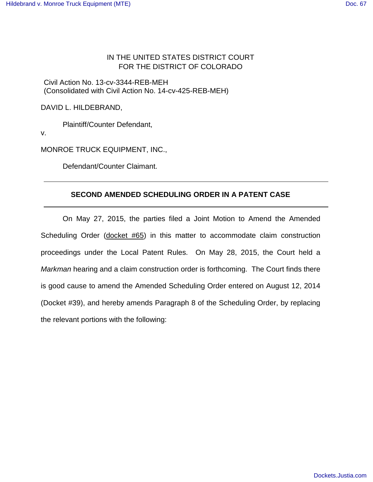## IN THE UNITED STATES DISTRICT COURT FOR THE DISTRICT OF COLORADO

Civil Action No. 13-cv-3344-REB-MEH (Consolidated with Civil Action No. 14-cv-425-REB-MEH)

DAVID L. HILDEBRAND,

Plaintiff/Counter Defendant,

v.

MONROE TRUCK EQUIPMENT, INC.,

Defendant/Counter Claimant.

## **SECOND AMENDED SCHEDULING ORDER IN A PATENT CASE**

On May 27, 2015, the parties filed a Joint Motion to Amend the Amended Scheduling Order (docket #65) in this matter to accommodate claim construction proceedings under the Local Patent Rules. On May 28, 2015, the Court held a Markman hearing and a claim construction order is forthcoming. The Court finds there is good cause to amend the Amended Scheduling Order entered on August 12, 2014 (Docket #39), and hereby amends Paragraph 8 of the Scheduling Order, by replacing the relevant portions with the following: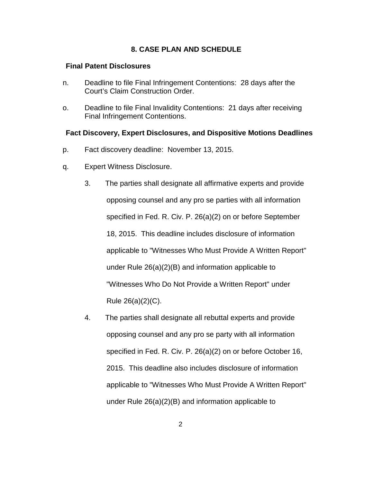## **8. CASE PLAN AND SCHEDULE**

#### **Final Patent Disclosures**

- n. Deadline to file Final Infringement Contentions: 28 days after the Court's Claim Construction Order.
- o. Deadline to file Final Invalidity Contentions: 21 days after receiving Final Infringement Contentions.

#### **Fact Discovery, Expert Disclosures, and Dispositive Motions Deadlines**

- p. Fact discovery deadline: November 13, 2015.
- q. Expert Witness Disclosure.
	- 3. The parties shall designate all affirmative experts and provide opposing counsel and any pro se parties with all information specified in Fed. R. Civ. P. 26(a)(2) on or before September 18, 2015. This deadline includes disclosure of information applicable to "Witnesses Who Must Provide A Written Report" under Rule 26(a)(2)(B) and information applicable to "Witnesses Who Do Not Provide a Written Report" under Rule 26(a)(2)(C).
	- 4. The parties shall designate all rebuttal experts and provide opposing counsel and any pro se party with all information specified in Fed. R. Civ. P. 26(a)(2) on or before October 16, 2015. This deadline also includes disclosure of information applicable to "Witnesses Who Must Provide A Written Report" under Rule 26(a)(2)(B) and information applicable to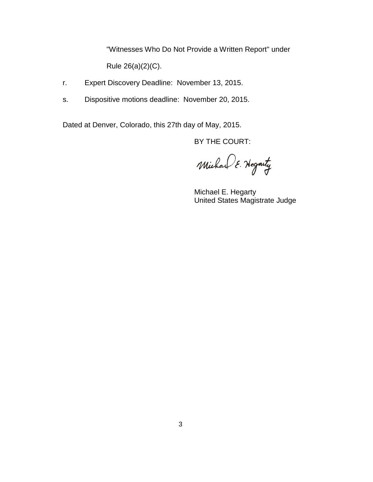"Witnesses Who Do Not Provide a Written Report" under Rule 26(a)(2)(C).

- r. Expert Discovery Deadline: November 13, 2015.
- s. Dispositive motions deadline: November 20, 2015.

Dated at Denver, Colorado, this 27th day of May, 2015.

BY THE COURT:

Michael E. Hegarty

 Michael E. Hegarty United States Magistrate Judge